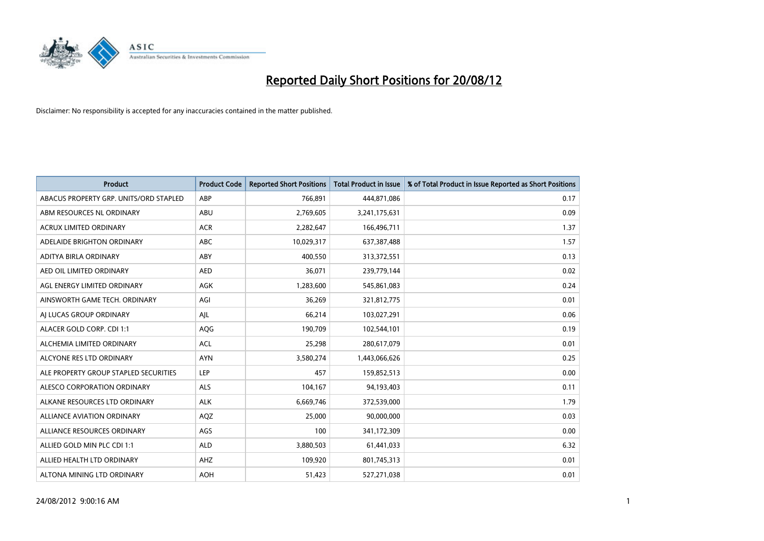

| <b>Product</b>                         | <b>Product Code</b> | <b>Reported Short Positions</b> | <b>Total Product in Issue</b> | % of Total Product in Issue Reported as Short Positions |
|----------------------------------------|---------------------|---------------------------------|-------------------------------|---------------------------------------------------------|
| ABACUS PROPERTY GRP. UNITS/ORD STAPLED | ABP                 | 766,891                         | 444,871,086                   | 0.17                                                    |
| ABM RESOURCES NL ORDINARY              | ABU                 | 2,769,605                       | 3,241,175,631                 | 0.09                                                    |
| <b>ACRUX LIMITED ORDINARY</b>          | <b>ACR</b>          | 2,282,647                       | 166,496,711                   | 1.37                                                    |
| ADELAIDE BRIGHTON ORDINARY             | <b>ABC</b>          | 10,029,317                      | 637, 387, 488                 | 1.57                                                    |
| ADITYA BIRLA ORDINARY                  | ABY                 | 400,550                         | 313,372,551                   | 0.13                                                    |
| AED OIL LIMITED ORDINARY               | <b>AED</b>          | 36,071                          | 239,779,144                   | 0.02                                                    |
| AGL ENERGY LIMITED ORDINARY            | <b>AGK</b>          | 1,283,600                       | 545,861,083                   | 0.24                                                    |
| AINSWORTH GAME TECH. ORDINARY          | AGI                 | 36,269                          | 321,812,775                   | 0.01                                                    |
| AI LUCAS GROUP ORDINARY                | AJL                 | 66,214                          | 103,027,291                   | 0.06                                                    |
| ALACER GOLD CORP. CDI 1:1              | AQG                 | 190,709                         | 102,544,101                   | 0.19                                                    |
| ALCHEMIA LIMITED ORDINARY              | <b>ACL</b>          | 25,298                          | 280,617,079                   | 0.01                                                    |
| ALCYONE RES LTD ORDINARY               | <b>AYN</b>          | 3,580,274                       | 1,443,066,626                 | 0.25                                                    |
| ALE PROPERTY GROUP STAPLED SECURITIES  | LEP                 | 457                             | 159,852,513                   | 0.00                                                    |
| ALESCO CORPORATION ORDINARY            | ALS                 | 104,167                         | 94,193,403                    | 0.11                                                    |
| ALKANE RESOURCES LTD ORDINARY          | <b>ALK</b>          | 6,669,746                       | 372,539,000                   | 1.79                                                    |
| ALLIANCE AVIATION ORDINARY             | AQZ                 | 25,000                          | 90,000,000                    | 0.03                                                    |
| ALLIANCE RESOURCES ORDINARY            | AGS                 | 100                             | 341,172,309                   | 0.00                                                    |
| ALLIED GOLD MIN PLC CDI 1:1            | <b>ALD</b>          | 3,880,503                       | 61,441,033                    | 6.32                                                    |
| ALLIED HEALTH LTD ORDINARY             | AHZ                 | 109,920                         | 801,745,313                   | 0.01                                                    |
| ALTONA MINING LTD ORDINARY             | <b>AOH</b>          | 51,423                          | 527,271,038                   | 0.01                                                    |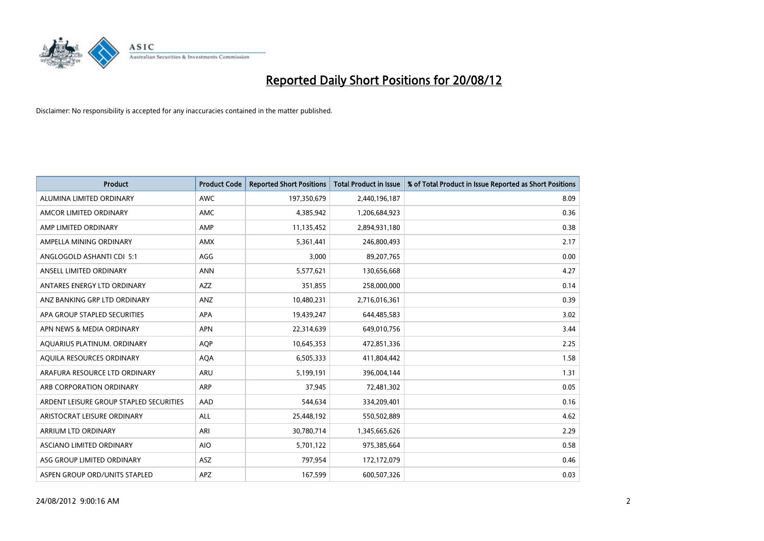

| <b>Product</b>                          | <b>Product Code</b> | <b>Reported Short Positions</b> | <b>Total Product in Issue</b> | % of Total Product in Issue Reported as Short Positions |
|-----------------------------------------|---------------------|---------------------------------|-------------------------------|---------------------------------------------------------|
| ALUMINA LIMITED ORDINARY                | <b>AWC</b>          | 197,350,679                     | 2,440,196,187                 | 8.09                                                    |
| AMCOR LIMITED ORDINARY                  | <b>AMC</b>          | 4,385,942                       | 1,206,684,923                 | 0.36                                                    |
| AMP LIMITED ORDINARY                    | AMP                 | 11,135,452                      | 2,894,931,180                 | 0.38                                                    |
| AMPELLA MINING ORDINARY                 | <b>AMX</b>          | 5,361,441                       | 246,800,493                   | 2.17                                                    |
| ANGLOGOLD ASHANTI CDI 5:1               | AGG                 | 3,000                           | 89,207,765                    | 0.00                                                    |
| ANSELL LIMITED ORDINARY                 | <b>ANN</b>          | 5,577,621                       | 130,656,668                   | 4.27                                                    |
| ANTARES ENERGY LTD ORDINARY             | <b>AZZ</b>          | 351,855                         | 258,000,000                   | 0.14                                                    |
| ANZ BANKING GRP LTD ORDINARY            | ANZ                 | 10,480,231                      | 2,716,016,361                 | 0.39                                                    |
| APA GROUP STAPLED SECURITIES            | <b>APA</b>          | 19,439,247                      | 644,485,583                   | 3.02                                                    |
| APN NEWS & MEDIA ORDINARY               | <b>APN</b>          | 22,314,639                      | 649,010,756                   | 3.44                                                    |
| AQUARIUS PLATINUM. ORDINARY             | <b>AOP</b>          | 10,645,353                      | 472,851,336                   | 2.25                                                    |
| AQUILA RESOURCES ORDINARY               | <b>AQA</b>          | 6,505,333                       | 411,804,442                   | 1.58                                                    |
| ARAFURA RESOURCE LTD ORDINARY           | ARU                 | 5,199,191                       | 396,004,144                   | 1.31                                                    |
| ARB CORPORATION ORDINARY                | <b>ARP</b>          | 37,945                          | 72,481,302                    | 0.05                                                    |
| ARDENT LEISURE GROUP STAPLED SECURITIES | AAD                 | 544,634                         | 334,209,401                   | 0.16                                                    |
| ARISTOCRAT LEISURE ORDINARY             | ALL                 | 25,448,192                      | 550,502,889                   | 4.62                                                    |
| ARRIUM LTD ORDINARY                     | ARI                 | 30,780,714                      | 1,345,665,626                 | 2.29                                                    |
| ASCIANO LIMITED ORDINARY                | <b>AIO</b>          | 5,701,122                       | 975,385,664                   | 0.58                                                    |
| ASG GROUP LIMITED ORDINARY              | <b>ASZ</b>          | 797,954                         | 172,172,079                   | 0.46                                                    |
| ASPEN GROUP ORD/UNITS STAPLED           | APZ                 | 167,599                         | 600,507,326                   | 0.03                                                    |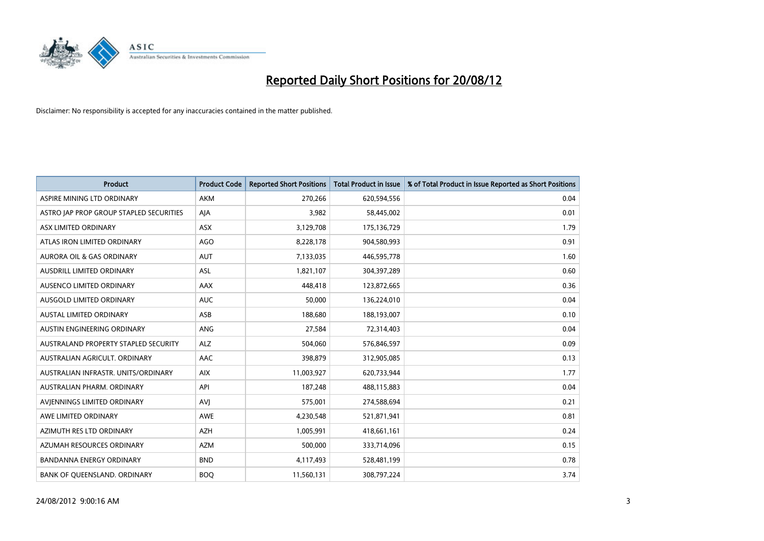

| <b>Product</b>                          | <b>Product Code</b> | <b>Reported Short Positions</b> | <b>Total Product in Issue</b> | % of Total Product in Issue Reported as Short Positions |
|-----------------------------------------|---------------------|---------------------------------|-------------------------------|---------------------------------------------------------|
| ASPIRE MINING LTD ORDINARY              | <b>AKM</b>          | 270,266                         | 620,594,556                   | 0.04                                                    |
| ASTRO JAP PROP GROUP STAPLED SECURITIES | AJA                 | 3,982                           | 58,445,002                    | 0.01                                                    |
| ASX LIMITED ORDINARY                    | <b>ASX</b>          | 3,129,708                       | 175,136,729                   | 1.79                                                    |
| ATLAS IRON LIMITED ORDINARY             | AGO                 | 8,228,178                       | 904,580,993                   | 0.91                                                    |
| <b>AURORA OIL &amp; GAS ORDINARY</b>    | <b>AUT</b>          | 7,133,035                       | 446,595,778                   | 1.60                                                    |
| AUSDRILL LIMITED ORDINARY               | <b>ASL</b>          | 1,821,107                       | 304,397,289                   | 0.60                                                    |
| AUSENCO LIMITED ORDINARY                | AAX                 | 448,418                         | 123,872,665                   | 0.36                                                    |
| <b>AUSGOLD LIMITED ORDINARY</b>         | <b>AUC</b>          | 50,000                          | 136,224,010                   | 0.04                                                    |
| AUSTAL LIMITED ORDINARY                 | ASB                 | 188,680                         | 188,193,007                   | 0.10                                                    |
| AUSTIN ENGINEERING ORDINARY             | ANG                 | 27,584                          | 72,314,403                    | 0.04                                                    |
| AUSTRALAND PROPERTY STAPLED SECURITY    | <b>ALZ</b>          | 504,060                         | 576,846,597                   | 0.09                                                    |
| AUSTRALIAN AGRICULT. ORDINARY           | AAC                 | 398,879                         | 312,905,085                   | 0.13                                                    |
| AUSTRALIAN INFRASTR. UNITS/ORDINARY     | <b>AIX</b>          | 11,003,927                      | 620,733,944                   | 1.77                                                    |
| AUSTRALIAN PHARM, ORDINARY              | API                 | 187,248                         | 488,115,883                   | 0.04                                                    |
| AVIENNINGS LIMITED ORDINARY             | AVI                 | 575,001                         | 274,588,694                   | 0.21                                                    |
| AWE LIMITED ORDINARY                    | <b>AWE</b>          | 4,230,548                       | 521,871,941                   | 0.81                                                    |
| AZIMUTH RES LTD ORDINARY                | <b>AZH</b>          | 1,005,991                       | 418,661,161                   | 0.24                                                    |
| AZUMAH RESOURCES ORDINARY               | <b>AZM</b>          | 500,000                         | 333,714,096                   | 0.15                                                    |
| <b>BANDANNA ENERGY ORDINARY</b>         | <b>BND</b>          | 4,117,493                       | 528,481,199                   | 0.78                                                    |
| BANK OF QUEENSLAND. ORDINARY            | <b>BOQ</b>          | 11,560,131                      | 308,797,224                   | 3.74                                                    |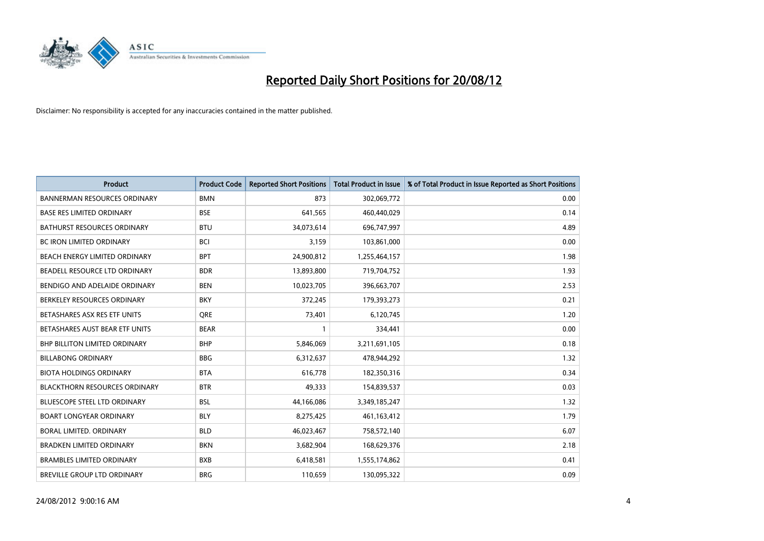

| <b>Product</b>                       | <b>Product Code</b> | <b>Reported Short Positions</b> | <b>Total Product in Issue</b> | % of Total Product in Issue Reported as Short Positions |
|--------------------------------------|---------------------|---------------------------------|-------------------------------|---------------------------------------------------------|
| <b>BANNERMAN RESOURCES ORDINARY</b>  | <b>BMN</b>          | 873                             | 302,069,772                   | 0.00                                                    |
| <b>BASE RES LIMITED ORDINARY</b>     | <b>BSE</b>          | 641,565                         | 460,440,029                   | 0.14                                                    |
| <b>BATHURST RESOURCES ORDINARY</b>   | <b>BTU</b>          | 34,073,614                      | 696,747,997                   | 4.89                                                    |
| BC IRON LIMITED ORDINARY             | <b>BCI</b>          | 3,159                           | 103,861,000                   | 0.00                                                    |
| BEACH ENERGY LIMITED ORDINARY        | <b>BPT</b>          | 24,900,812                      | 1,255,464,157                 | 1.98                                                    |
| BEADELL RESOURCE LTD ORDINARY        | <b>BDR</b>          | 13,893,800                      | 719,704,752                   | 1.93                                                    |
| BENDIGO AND ADELAIDE ORDINARY        | <b>BEN</b>          | 10,023,705                      | 396,663,707                   | 2.53                                                    |
| BERKELEY RESOURCES ORDINARY          | <b>BKY</b>          | 372,245                         | 179,393,273                   | 0.21                                                    |
| BETASHARES ASX RES ETF UNITS         | <b>ORE</b>          | 73,401                          | 6,120,745                     | 1.20                                                    |
| BETASHARES AUST BEAR ETF UNITS       | <b>BEAR</b>         |                                 | 334,441                       | 0.00                                                    |
| BHP BILLITON LIMITED ORDINARY        | <b>BHP</b>          | 5,846,069                       | 3,211,691,105                 | 0.18                                                    |
| <b>BILLABONG ORDINARY</b>            | <b>BBG</b>          | 6,312,637                       | 478,944,292                   | 1.32                                                    |
| <b>BIOTA HOLDINGS ORDINARY</b>       | <b>BTA</b>          | 616,778                         | 182,350,316                   | 0.34                                                    |
| <b>BLACKTHORN RESOURCES ORDINARY</b> | <b>BTR</b>          | 49,333                          | 154,839,537                   | 0.03                                                    |
| <b>BLUESCOPE STEEL LTD ORDINARY</b>  | <b>BSL</b>          | 44,166,086                      | 3,349,185,247                 | 1.32                                                    |
| <b>BOART LONGYEAR ORDINARY</b>       | <b>BLY</b>          | 8,275,425                       | 461,163,412                   | 1.79                                                    |
| BORAL LIMITED. ORDINARY              | <b>BLD</b>          | 46,023,467                      | 758,572,140                   | 6.07                                                    |
| <b>BRADKEN LIMITED ORDINARY</b>      | <b>BKN</b>          | 3,682,904                       | 168,629,376                   | 2.18                                                    |
| <b>BRAMBLES LIMITED ORDINARY</b>     | <b>BXB</b>          | 6,418,581                       | 1,555,174,862                 | 0.41                                                    |
| BREVILLE GROUP LTD ORDINARY          | <b>BRG</b>          | 110,659                         | 130,095,322                   | 0.09                                                    |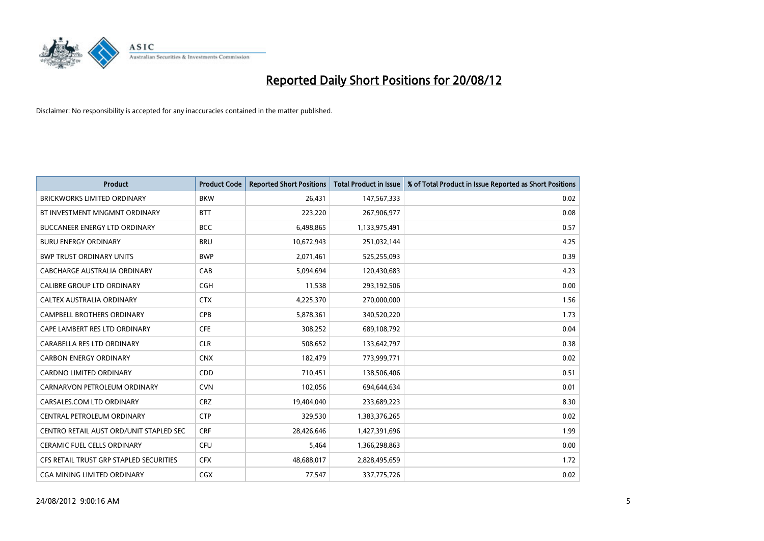

| <b>Product</b>                          | <b>Product Code</b> | <b>Reported Short Positions</b> | <b>Total Product in Issue</b> | % of Total Product in Issue Reported as Short Positions |
|-----------------------------------------|---------------------|---------------------------------|-------------------------------|---------------------------------------------------------|
| <b>BRICKWORKS LIMITED ORDINARY</b>      | <b>BKW</b>          | 26,431                          | 147,567,333                   | 0.02                                                    |
| BT INVESTMENT MNGMNT ORDINARY           | <b>BTT</b>          | 223,220                         | 267,906,977                   | 0.08                                                    |
| <b>BUCCANEER ENERGY LTD ORDINARY</b>    | <b>BCC</b>          | 6,498,865                       | 1,133,975,491                 | 0.57                                                    |
| <b>BURU ENERGY ORDINARY</b>             | <b>BRU</b>          | 10,672,943                      | 251,032,144                   | 4.25                                                    |
| <b>BWP TRUST ORDINARY UNITS</b>         | <b>BWP</b>          | 2,071,461                       | 525,255,093                   | 0.39                                                    |
| CABCHARGE AUSTRALIA ORDINARY            | CAB                 | 5,094,694                       | 120,430,683                   | 4.23                                                    |
| <b>CALIBRE GROUP LTD ORDINARY</b>       | <b>CGH</b>          | 11,538                          | 293,192,506                   | 0.00                                                    |
| <b>CALTEX AUSTRALIA ORDINARY</b>        | <b>CTX</b>          | 4,225,370                       | 270,000,000                   | 1.56                                                    |
| CAMPBELL BROTHERS ORDINARY              | <b>CPB</b>          | 5,878,361                       | 340,520,220                   | 1.73                                                    |
| CAPE LAMBERT RES LTD ORDINARY           | <b>CFE</b>          | 308,252                         | 689,108,792                   | 0.04                                                    |
| CARABELLA RES LTD ORDINARY              | <b>CLR</b>          | 508,652                         | 133,642,797                   | 0.38                                                    |
| <b>CARBON ENERGY ORDINARY</b>           | <b>CNX</b>          | 182,479                         | 773,999,771                   | 0.02                                                    |
| <b>CARDNO LIMITED ORDINARY</b>          | <b>CDD</b>          | 710,451                         | 138,506,406                   | 0.51                                                    |
| CARNARVON PETROLEUM ORDINARY            | <b>CVN</b>          | 102,056                         | 694,644,634                   | 0.01                                                    |
| CARSALES.COM LTD ORDINARY               | <b>CRZ</b>          | 19,404,040                      | 233,689,223                   | 8.30                                                    |
| CENTRAL PETROLEUM ORDINARY              | <b>CTP</b>          | 329,530                         | 1,383,376,265                 | 0.02                                                    |
| CENTRO RETAIL AUST ORD/UNIT STAPLED SEC | <b>CRF</b>          | 28,426,646                      | 1,427,391,696                 | 1.99                                                    |
| <b>CERAMIC FUEL CELLS ORDINARY</b>      | CFU                 | 5,464                           | 1,366,298,863                 | 0.00                                                    |
| CFS RETAIL TRUST GRP STAPLED SECURITIES | <b>CFX</b>          | 48,688,017                      | 2,828,495,659                 | 1.72                                                    |
| CGA MINING LIMITED ORDINARY             | <b>CGX</b>          | 77,547                          | 337,775,726                   | 0.02                                                    |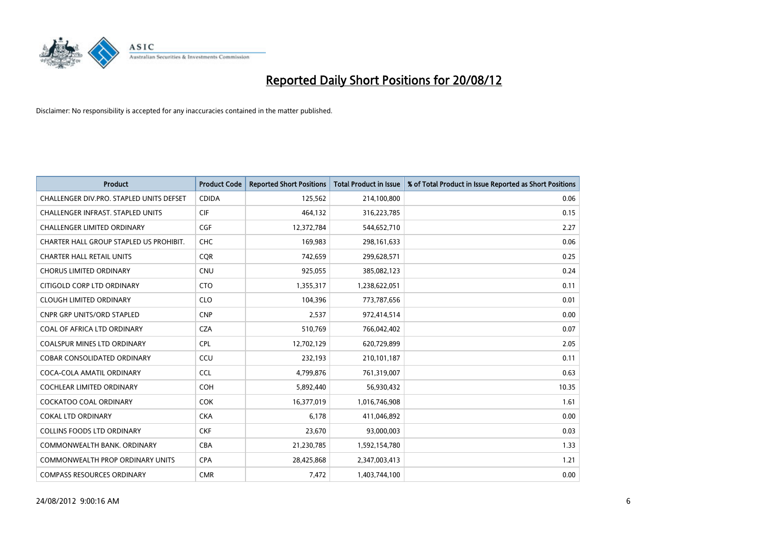

| <b>Product</b>                           | <b>Product Code</b> | <b>Reported Short Positions</b> | <b>Total Product in Issue</b> | % of Total Product in Issue Reported as Short Positions |
|------------------------------------------|---------------------|---------------------------------|-------------------------------|---------------------------------------------------------|
| CHALLENGER DIV.PRO. STAPLED UNITS DEFSET | <b>CDIDA</b>        | 125,562                         | 214,100,800                   | 0.06                                                    |
| CHALLENGER INFRAST. STAPLED UNITS        | <b>CIF</b>          | 464,132                         | 316,223,785                   | 0.15                                                    |
| <b>CHALLENGER LIMITED ORDINARY</b>       | <b>CGF</b>          | 12,372,784                      | 544,652,710                   | 2.27                                                    |
| CHARTER HALL GROUP STAPLED US PROHIBIT.  | <b>CHC</b>          | 169,983                         | 298,161,633                   | 0.06                                                    |
| <b>CHARTER HALL RETAIL UNITS</b>         | <b>COR</b>          | 742,659                         | 299,628,571                   | 0.25                                                    |
| <b>CHORUS LIMITED ORDINARY</b>           | CNU                 | 925,055                         | 385,082,123                   | 0.24                                                    |
| CITIGOLD CORP LTD ORDINARY               | <b>CTO</b>          | 1,355,317                       | 1,238,622,051                 | 0.11                                                    |
| <b>CLOUGH LIMITED ORDINARY</b>           | <b>CLO</b>          | 104,396                         | 773,787,656                   | 0.01                                                    |
| <b>CNPR GRP UNITS/ORD STAPLED</b>        | <b>CNP</b>          | 2,537                           | 972,414,514                   | 0.00                                                    |
| COAL OF AFRICA LTD ORDINARY              | <b>CZA</b>          | 510,769                         | 766,042,402                   | 0.07                                                    |
| COALSPUR MINES LTD ORDINARY              | <b>CPL</b>          | 12,702,129                      | 620,729,899                   | 2.05                                                    |
| <b>COBAR CONSOLIDATED ORDINARY</b>       | CCU                 | 232,193                         | 210,101,187                   | 0.11                                                    |
| COCA-COLA AMATIL ORDINARY                | <b>CCL</b>          | 4,799,876                       | 761,319,007                   | 0.63                                                    |
| <b>COCHLEAR LIMITED ORDINARY</b>         | <b>COH</b>          | 5,892,440                       | 56,930,432                    | 10.35                                                   |
| <b>COCKATOO COAL ORDINARY</b>            | <b>COK</b>          | 16,377,019                      | 1,016,746,908                 | 1.61                                                    |
| <b>COKAL LTD ORDINARY</b>                | <b>CKA</b>          | 6,178                           | 411,046,892                   | 0.00                                                    |
| <b>COLLINS FOODS LTD ORDINARY</b>        | <b>CKF</b>          | 23,670                          | 93,000,003                    | 0.03                                                    |
| COMMONWEALTH BANK, ORDINARY              | <b>CBA</b>          | 21,230,785                      | 1,592,154,780                 | 1.33                                                    |
| <b>COMMONWEALTH PROP ORDINARY UNITS</b>  | <b>CPA</b>          | 28,425,868                      | 2,347,003,413                 | 1,21                                                    |
| <b>COMPASS RESOURCES ORDINARY</b>        | <b>CMR</b>          | 7,472                           | 1,403,744,100                 | 0.00                                                    |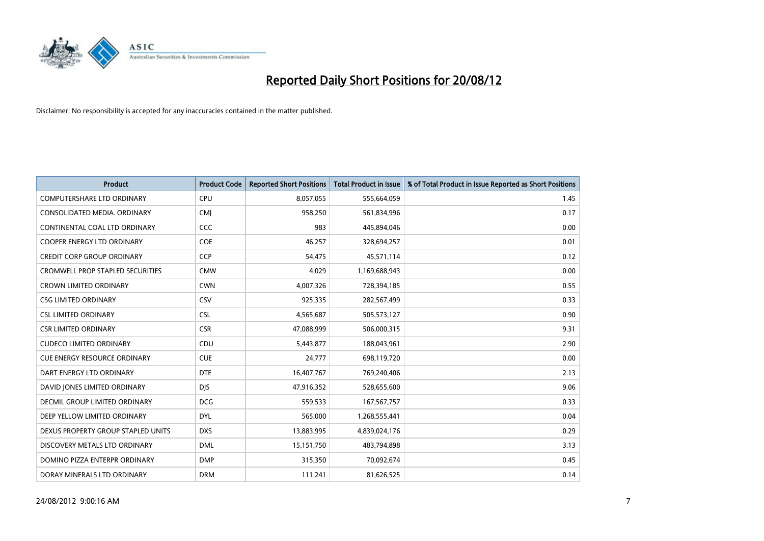

| <b>Product</b>                          | <b>Product Code</b> | <b>Reported Short Positions</b> | <b>Total Product in Issue</b> | % of Total Product in Issue Reported as Short Positions |
|-----------------------------------------|---------------------|---------------------------------|-------------------------------|---------------------------------------------------------|
| <b>COMPUTERSHARE LTD ORDINARY</b>       | CPU                 | 8,057,055                       | 555,664,059                   | 1.45                                                    |
| CONSOLIDATED MEDIA. ORDINARY            | <b>CMI</b>          | 958,250                         | 561,834,996                   | 0.17                                                    |
| CONTINENTAL COAL LTD ORDINARY           | CCC                 | 983                             | 445,894,046                   | 0.00                                                    |
| COOPER ENERGY LTD ORDINARY              | <b>COE</b>          | 46,257                          | 328,694,257                   | 0.01                                                    |
| <b>CREDIT CORP GROUP ORDINARY</b>       | <b>CCP</b>          | 54,475                          | 45,571,114                    | 0.12                                                    |
| <b>CROMWELL PROP STAPLED SECURITIES</b> | <b>CMW</b>          | 4,029                           | 1,169,688,943                 | 0.00                                                    |
| <b>CROWN LIMITED ORDINARY</b>           | <b>CWN</b>          | 4,007,326                       | 728,394,185                   | 0.55                                                    |
| <b>CSG LIMITED ORDINARY</b>             | CSV                 | 925,335                         | 282,567,499                   | 0.33                                                    |
| <b>CSL LIMITED ORDINARY</b>             | <b>CSL</b>          | 4,565,687                       | 505,573,127                   | 0.90                                                    |
| <b>CSR LIMITED ORDINARY</b>             | <b>CSR</b>          | 47,088,999                      | 506,000,315                   | 9.31                                                    |
| <b>CUDECO LIMITED ORDINARY</b>          | CDU                 | 5,443,877                       | 188,043,961                   | 2.90                                                    |
| <b>CUE ENERGY RESOURCE ORDINARY</b>     | <b>CUE</b>          | 24,777                          | 698,119,720                   | 0.00                                                    |
| DART ENERGY LTD ORDINARY                | <b>DTE</b>          | 16,407,767                      | 769,240,406                   | 2.13                                                    |
| DAVID JONES LIMITED ORDINARY            | <b>DIS</b>          | 47,916,352                      | 528,655,600                   | 9.06                                                    |
| DECMIL GROUP LIMITED ORDINARY           | <b>DCG</b>          | 559,533                         | 167,567,757                   | 0.33                                                    |
| DEEP YELLOW LIMITED ORDINARY            | <b>DYL</b>          | 565,000                         | 1,268,555,441                 | 0.04                                                    |
| DEXUS PROPERTY GROUP STAPLED UNITS      | <b>DXS</b>          | 13,883,995                      | 4,839,024,176                 | 0.29                                                    |
| DISCOVERY METALS LTD ORDINARY           | <b>DML</b>          | 15,151,750                      | 483,794,898                   | 3.13                                                    |
| DOMINO PIZZA ENTERPR ORDINARY           | <b>DMP</b>          | 315,350                         | 70,092,674                    | 0.45                                                    |
| DORAY MINERALS LTD ORDINARY             | <b>DRM</b>          | 111,241                         | 81,626,525                    | 0.14                                                    |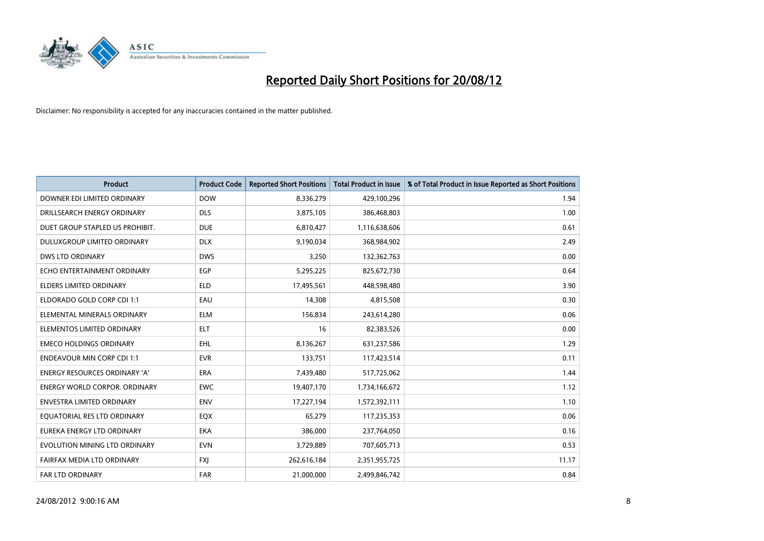

| <b>Product</b>                       | <b>Product Code</b> | <b>Reported Short Positions</b> | <b>Total Product in Issue</b> | % of Total Product in Issue Reported as Short Positions |
|--------------------------------------|---------------------|---------------------------------|-------------------------------|---------------------------------------------------------|
| DOWNER EDI LIMITED ORDINARY          | <b>DOW</b>          | 8,336,279                       | 429,100,296                   | 1.94                                                    |
| DRILLSEARCH ENERGY ORDINARY          | <b>DLS</b>          | 3,875,105                       | 386,468,803                   | 1.00                                                    |
| DUET GROUP STAPLED US PROHIBIT.      | <b>DUE</b>          | 6,810,427                       | 1,116,638,606                 | 0.61                                                    |
| DULUXGROUP LIMITED ORDINARY          | <b>DLX</b>          | 9,190,034                       | 368,984,902                   | 2.49                                                    |
| <b>DWS LTD ORDINARY</b>              | <b>DWS</b>          | 3,250                           | 132,362,763                   | 0.00                                                    |
| ECHO ENTERTAINMENT ORDINARY          | EGP                 | 5,295,225                       | 825,672,730                   | 0.64                                                    |
| <b>ELDERS LIMITED ORDINARY</b>       | <b>ELD</b>          | 17,495,561                      | 448,598,480                   | 3.90                                                    |
| ELDORADO GOLD CORP CDI 1:1           | EAU                 | 14,308                          | 4,815,508                     | 0.30                                                    |
| ELEMENTAL MINERALS ORDINARY          | <b>ELM</b>          | 156,834                         | 243,614,280                   | 0.06                                                    |
| ELEMENTOS LIMITED ORDINARY           | <b>ELT</b>          | 16                              | 82,383,526                    | 0.00                                                    |
| <b>EMECO HOLDINGS ORDINARY</b>       | EHL.                | 8,136,267                       | 631,237,586                   | 1.29                                                    |
| <b>ENDEAVOUR MIN CORP CDI 1:1</b>    | <b>EVR</b>          | 133,751                         | 117,423,514                   | 0.11                                                    |
| <b>ENERGY RESOURCES ORDINARY 'A'</b> | <b>ERA</b>          | 7,439,480                       | 517,725,062                   | 1.44                                                    |
| <b>ENERGY WORLD CORPOR, ORDINARY</b> | <b>EWC</b>          | 19,407,170                      | 1,734,166,672                 | 1.12                                                    |
| ENVESTRA LIMITED ORDINARY            | <b>ENV</b>          | 17,227,194                      | 1,572,392,111                 | 1.10                                                    |
| EQUATORIAL RES LTD ORDINARY          | EQX                 | 65,279                          | 117,235,353                   | 0.06                                                    |
| EUREKA ENERGY LTD ORDINARY           | <b>EKA</b>          | 386,000                         | 237,764,050                   | 0.16                                                    |
| EVOLUTION MINING LTD ORDINARY        | <b>EVN</b>          | 3,729,889                       | 707,605,713                   | 0.53                                                    |
| FAIRFAX MEDIA LTD ORDINARY           | <b>FXI</b>          | 262,616,184                     | 2,351,955,725                 | 11.17                                                   |
| <b>FAR LTD ORDINARY</b>              | <b>FAR</b>          | 21,000,000                      | 2.499.846.742                 | 0.84                                                    |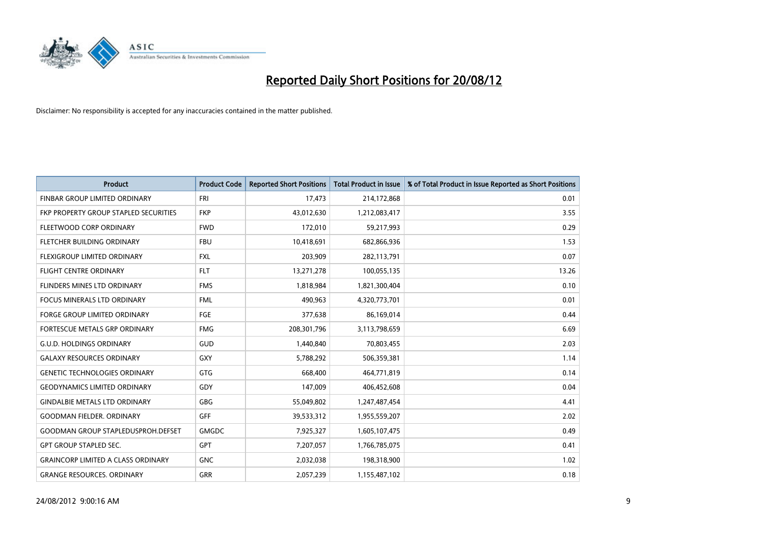

| <b>Product</b>                            | <b>Product Code</b> | <b>Reported Short Positions</b> | <b>Total Product in Issue</b> | % of Total Product in Issue Reported as Short Positions |
|-------------------------------------------|---------------------|---------------------------------|-------------------------------|---------------------------------------------------------|
| FINBAR GROUP LIMITED ORDINARY             | <b>FRI</b>          | 17,473                          | 214,172,868                   | 0.01                                                    |
| FKP PROPERTY GROUP STAPLED SECURITIES     | <b>FKP</b>          | 43,012,630                      | 1,212,083,417                 | 3.55                                                    |
| FLEETWOOD CORP ORDINARY                   | <b>FWD</b>          | 172,010                         | 59,217,993                    | 0.29                                                    |
| FLETCHER BUILDING ORDINARY                | <b>FBU</b>          | 10,418,691                      | 682,866,936                   | 1.53                                                    |
| <b>FLEXIGROUP LIMITED ORDINARY</b>        | <b>FXL</b>          | 203,909                         | 282,113,791                   | 0.07                                                    |
| <b>FLIGHT CENTRE ORDINARY</b>             | <b>FLT</b>          | 13,271,278                      | 100,055,135                   | 13.26                                                   |
| <b>FLINDERS MINES LTD ORDINARY</b>        | <b>FMS</b>          | 1,818,984                       | 1,821,300,404                 | 0.10                                                    |
| FOCUS MINERALS LTD ORDINARY               | <b>FML</b>          | 490,963                         | 4,320,773,701                 | 0.01                                                    |
| FORGE GROUP LIMITED ORDINARY              | FGE                 | 377,638                         | 86,169,014                    | 0.44                                                    |
| FORTESCUE METALS GRP ORDINARY             | <b>FMG</b>          | 208,301,796                     | 3,113,798,659                 | 6.69                                                    |
| <b>G.U.D. HOLDINGS ORDINARY</b>           | GUD                 | 1,440,840                       | 70,803,455                    | 2.03                                                    |
| <b>GALAXY RESOURCES ORDINARY</b>          | GXY                 | 5,788,292                       | 506,359,381                   | 1.14                                                    |
| <b>GENETIC TECHNOLOGIES ORDINARY</b>      | <b>GTG</b>          | 668,400                         | 464,771,819                   | 0.14                                                    |
| <b>GEODYNAMICS LIMITED ORDINARY</b>       | GDY                 | 147,009                         | 406,452,608                   | 0.04                                                    |
| <b>GINDALBIE METALS LTD ORDINARY</b>      | <b>GBG</b>          | 55,049,802                      | 1,247,487,454                 | 4.41                                                    |
| <b>GOODMAN FIELDER, ORDINARY</b>          | GFF                 | 39,533,312                      | 1,955,559,207                 | 2.02                                                    |
| <b>GOODMAN GROUP STAPLEDUSPROH.DEFSET</b> | <b>GMGDC</b>        | 7,925,327                       | 1,605,107,475                 | 0.49                                                    |
| <b>GPT GROUP STAPLED SEC.</b>             | <b>GPT</b>          | 7,207,057                       | 1,766,785,075                 | 0.41                                                    |
| <b>GRAINCORP LIMITED A CLASS ORDINARY</b> | <b>GNC</b>          | 2,032,038                       | 198,318,900                   | 1.02                                                    |
| <b>GRANGE RESOURCES. ORDINARY</b>         | <b>GRR</b>          | 2,057,239                       | 1,155,487,102                 | 0.18                                                    |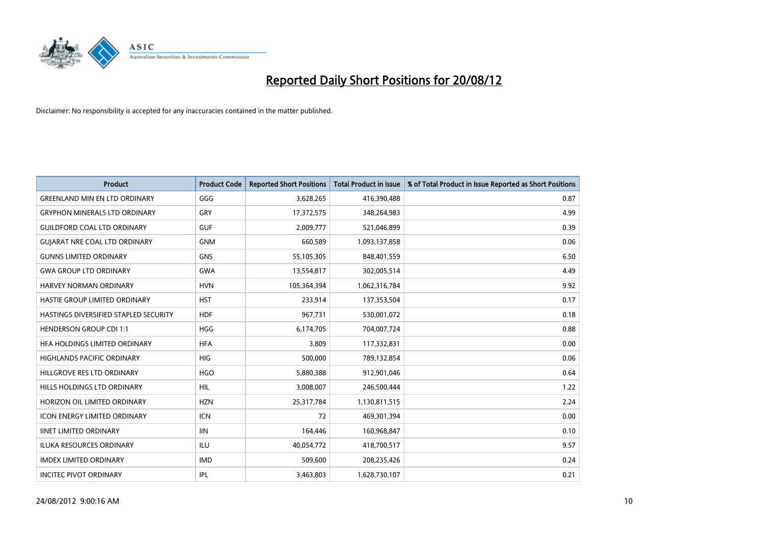

| <b>Product</b>                        | <b>Product Code</b> | <b>Reported Short Positions</b> | <b>Total Product in Issue</b> | % of Total Product in Issue Reported as Short Positions |
|---------------------------------------|---------------------|---------------------------------|-------------------------------|---------------------------------------------------------|
| <b>GREENLAND MIN EN LTD ORDINARY</b>  | GGG                 | 3,628,265                       | 416,390,488                   | 0.87                                                    |
| <b>GRYPHON MINERALS LTD ORDINARY</b>  | GRY                 | 17,372,575                      | 348,264,983                   | 4.99                                                    |
| <b>GUILDFORD COAL LTD ORDINARY</b>    | <b>GUF</b>          | 2,009,777                       | 521,046,899                   | 0.39                                                    |
| <b>GUIARAT NRE COAL LTD ORDINARY</b>  | <b>GNM</b>          | 660,589                         | 1,093,137,858                 | 0.06                                                    |
| <b>GUNNS LIMITED ORDINARY</b>         | <b>GNS</b>          | 55,105,305                      | 848,401,559                   | 6.50                                                    |
| <b>GWA GROUP LTD ORDINARY</b>         | <b>GWA</b>          | 13,554,817                      | 302,005,514                   | 4.49                                                    |
| <b>HARVEY NORMAN ORDINARY</b>         | <b>HVN</b>          | 105,364,394                     | 1,062,316,784                 | 9.92                                                    |
| HASTIE GROUP LIMITED ORDINARY         | <b>HST</b>          | 233,914                         | 137,353,504                   | 0.17                                                    |
| HASTINGS DIVERSIFIED STAPLED SECURITY | <b>HDF</b>          | 967,731                         | 530,001,072                   | 0.18                                                    |
| <b>HENDERSON GROUP CDI 1:1</b>        | <b>HGG</b>          | 6,174,705                       | 704,007,724                   | 0.88                                                    |
| HFA HOLDINGS LIMITED ORDINARY         | <b>HFA</b>          | 3,809                           | 117,332,831                   | 0.00                                                    |
| HIGHLANDS PACIFIC ORDINARY            | <b>HIG</b>          | 500,000                         | 789,132,854                   | 0.06                                                    |
| HILLGROVE RES LTD ORDINARY            | <b>HGO</b>          | 5,880,388                       | 912,901,046                   | 0.64                                                    |
| HILLS HOLDINGS LTD ORDINARY           | <b>HIL</b>          | 3,008,007                       | 246,500,444                   | 1.22                                                    |
| HORIZON OIL LIMITED ORDINARY          | <b>HZN</b>          | 25,317,784                      | 1,130,811,515                 | 2.24                                                    |
| <b>ICON ENERGY LIMITED ORDINARY</b>   | <b>ICN</b>          | 72                              | 469,301,394                   | 0.00                                                    |
| <b>IINET LIMITED ORDINARY</b>         | <b>IIN</b>          | 164,446                         | 160,968,847                   | 0.10                                                    |
| ILUKA RESOURCES ORDINARY              | ILU                 | 40,054,772                      | 418,700,517                   | 9.57                                                    |
| <b>IMDEX LIMITED ORDINARY</b>         | <b>IMD</b>          | 509,600                         | 208,235,426                   | 0.24                                                    |
| <b>INCITEC PIVOT ORDINARY</b>         | IPL                 | 3,463,803                       | 1,628,730,107                 | 0.21                                                    |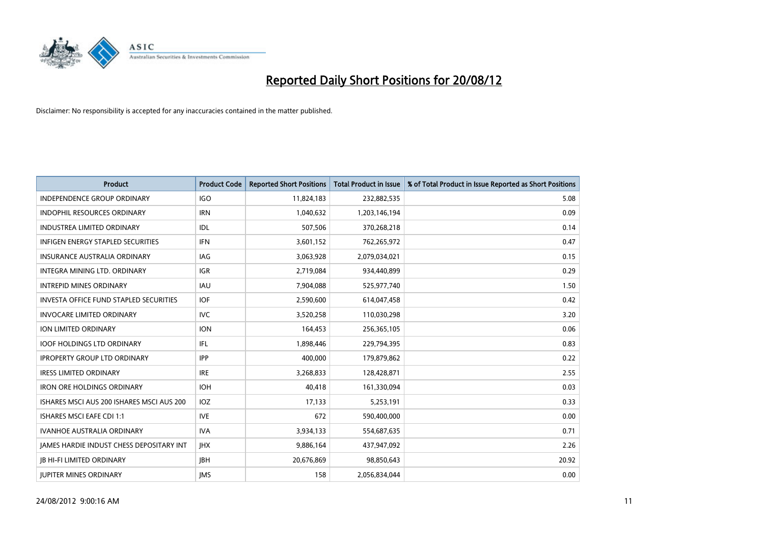

| <b>Product</b>                                  | <b>Product Code</b> | <b>Reported Short Positions</b> | <b>Total Product in Issue</b> | % of Total Product in Issue Reported as Short Positions |
|-------------------------------------------------|---------------------|---------------------------------|-------------------------------|---------------------------------------------------------|
| <b>INDEPENDENCE GROUP ORDINARY</b>              | <b>IGO</b>          | 11,824,183                      | 232,882,535                   | 5.08                                                    |
| <b>INDOPHIL RESOURCES ORDINARY</b>              | <b>IRN</b>          | 1,040,632                       | 1,203,146,194                 | 0.09                                                    |
| INDUSTREA LIMITED ORDINARY                      | IDL                 | 507,506                         | 370,268,218                   | 0.14                                                    |
| INFIGEN ENERGY STAPLED SECURITIES               | <b>IFN</b>          | 3,601,152                       | 762,265,972                   | 0.47                                                    |
| <b>INSURANCE AUSTRALIA ORDINARY</b>             | IAG                 | 3,063,928                       | 2,079,034,021                 | 0.15                                                    |
| <b>INTEGRA MINING LTD, ORDINARY</b>             | <b>IGR</b>          | 2,719,084                       | 934,440,899                   | 0.29                                                    |
| <b>INTREPID MINES ORDINARY</b>                  | <b>IAU</b>          | 7,904,088                       | 525,977,740                   | 1.50                                                    |
| <b>INVESTA OFFICE FUND STAPLED SECURITIES</b>   | <b>IOF</b>          | 2,590,600                       | 614,047,458                   | 0.42                                                    |
| <b>INVOCARE LIMITED ORDINARY</b>                | IVC                 | 3,520,258                       | 110,030,298                   | 3.20                                                    |
| <b>ION LIMITED ORDINARY</b>                     | <b>ION</b>          | 164,453                         | 256,365,105                   | 0.06                                                    |
| <b>IOOF HOLDINGS LTD ORDINARY</b>               | IFL.                | 1,898,446                       | 229,794,395                   | 0.83                                                    |
| <b>IPROPERTY GROUP LTD ORDINARY</b>             | <b>IPP</b>          | 400,000                         | 179,879,862                   | 0.22                                                    |
| <b>IRESS LIMITED ORDINARY</b>                   | <b>IRE</b>          | 3,268,833                       | 128,428,871                   | 2.55                                                    |
| <b>IRON ORE HOLDINGS ORDINARY</b>               | <b>IOH</b>          | 40.418                          | 161,330,094                   | 0.03                                                    |
| ISHARES MSCI AUS 200 ISHARES MSCI AUS 200       | <b>IOZ</b>          | 17,133                          | 5,253,191                     | 0.33                                                    |
| <b>ISHARES MSCI EAFE CDI 1:1</b>                | <b>IVE</b>          | 672                             | 590,400,000                   | 0.00                                                    |
| <b>IVANHOE AUSTRALIA ORDINARY</b>               | <b>IVA</b>          | 3,934,133                       | 554,687,635                   | 0.71                                                    |
| <b>JAMES HARDIE INDUST CHESS DEPOSITARY INT</b> | <b>IHX</b>          | 9,886,164                       | 437,947,092                   | 2.26                                                    |
| <b>IB HI-FI LIMITED ORDINARY</b>                | <b>IBH</b>          | 20,676,869                      | 98,850,643                    | 20.92                                                   |
| <b>IUPITER MINES ORDINARY</b>                   | <b>IMS</b>          | 158                             | 2,056,834,044                 | 0.00                                                    |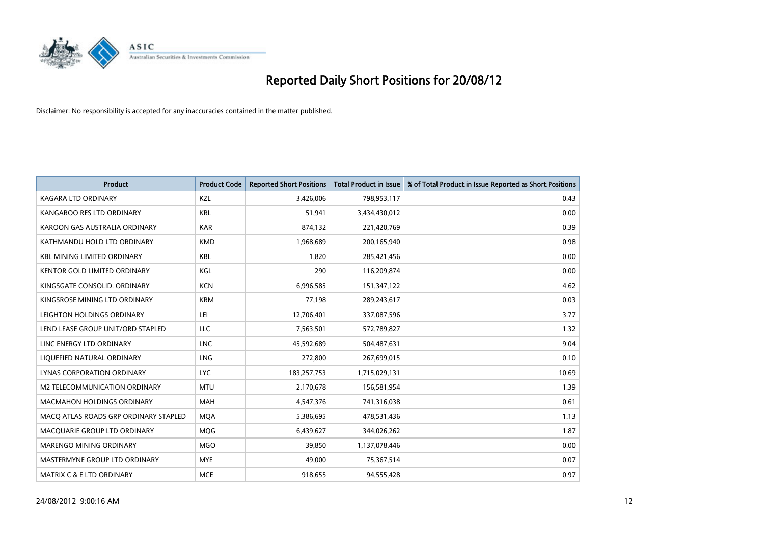

| <b>Product</b>                        | <b>Product Code</b> | <b>Reported Short Positions</b> | <b>Total Product in Issue</b> | % of Total Product in Issue Reported as Short Positions |
|---------------------------------------|---------------------|---------------------------------|-------------------------------|---------------------------------------------------------|
| <b>KAGARA LTD ORDINARY</b>            | <b>KZL</b>          | 3,426,006                       | 798,953,117                   | 0.43                                                    |
| KANGAROO RES LTD ORDINARY             | <b>KRL</b>          | 51,941                          | 3,434,430,012                 | 0.00                                                    |
| KAROON GAS AUSTRALIA ORDINARY         | <b>KAR</b>          | 874,132                         | 221,420,769                   | 0.39                                                    |
| KATHMANDU HOLD LTD ORDINARY           | <b>KMD</b>          | 1,968,689                       | 200,165,940                   | 0.98                                                    |
| <b>KBL MINING LIMITED ORDINARY</b>    | <b>KBL</b>          | 1,820                           | 285,421,456                   | 0.00                                                    |
| <b>KENTOR GOLD LIMITED ORDINARY</b>   | KGL                 | 290                             | 116,209,874                   | 0.00                                                    |
| KINGSGATE CONSOLID. ORDINARY          | <b>KCN</b>          | 6,996,585                       | 151,347,122                   | 4.62                                                    |
| KINGSROSE MINING LTD ORDINARY         | <b>KRM</b>          | 77,198                          | 289,243,617                   | 0.03                                                    |
| LEIGHTON HOLDINGS ORDINARY            | LEI                 | 12,706,401                      | 337,087,596                   | 3.77                                                    |
| LEND LEASE GROUP UNIT/ORD STAPLED     | LLC                 | 7,563,501                       | 572,789,827                   | 1.32                                                    |
| LINC ENERGY LTD ORDINARY              | <b>LNC</b>          | 45,592,689                      | 504,487,631                   | 9.04                                                    |
| LIQUEFIED NATURAL ORDINARY            | <b>LNG</b>          | 272,800                         | 267,699,015                   | 0.10                                                    |
| LYNAS CORPORATION ORDINARY            | <b>LYC</b>          | 183,257,753                     | 1,715,029,131                 | 10.69                                                   |
| M2 TELECOMMUNICATION ORDINARY         | <b>MTU</b>          | 2,170,678                       | 156,581,954                   | 1.39                                                    |
| <b>MACMAHON HOLDINGS ORDINARY</b>     | <b>MAH</b>          | 4,547,376                       | 741,316,038                   | 0.61                                                    |
| MACQ ATLAS ROADS GRP ORDINARY STAPLED | <b>MOA</b>          | 5,386,695                       | 478,531,436                   | 1.13                                                    |
| MACQUARIE GROUP LTD ORDINARY          | <b>MOG</b>          | 6,439,627                       | 344,026,262                   | 1.87                                                    |
| <b>MARENGO MINING ORDINARY</b>        | <b>MGO</b>          | 39,850                          | 1,137,078,446                 | 0.00                                                    |
| MASTERMYNE GROUP LTD ORDINARY         | <b>MYE</b>          | 49,000                          | 75,367,514                    | 0.07                                                    |
| MATRIX C & E LTD ORDINARY             | <b>MCE</b>          | 918,655                         | 94,555,428                    | 0.97                                                    |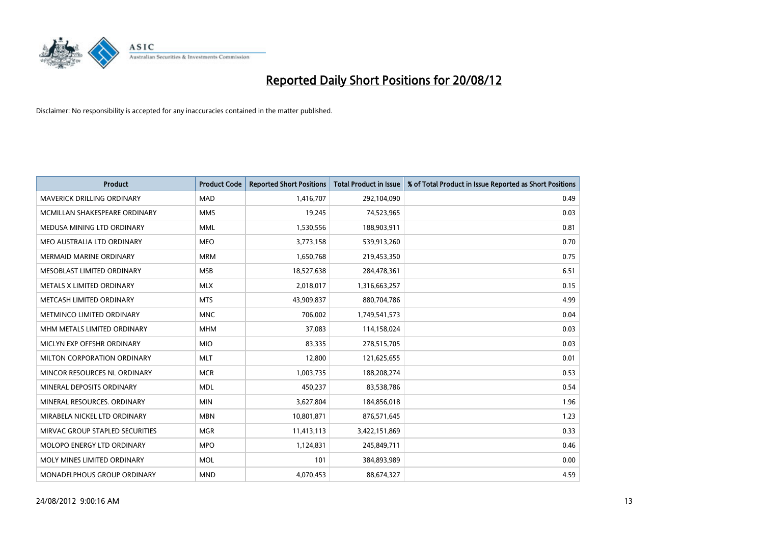

| <b>Product</b>                    | <b>Product Code</b> | <b>Reported Short Positions</b> | <b>Total Product in Issue</b> | % of Total Product in Issue Reported as Short Positions |
|-----------------------------------|---------------------|---------------------------------|-------------------------------|---------------------------------------------------------|
| <b>MAVERICK DRILLING ORDINARY</b> | <b>MAD</b>          | 1,416,707                       | 292,104,090                   | 0.49                                                    |
| MCMILLAN SHAKESPEARE ORDINARY     | <b>MMS</b>          | 19,245                          | 74,523,965                    | 0.03                                                    |
| MEDUSA MINING LTD ORDINARY        | <b>MML</b>          | 1,530,556                       | 188,903,911                   | 0.81                                                    |
| MEO AUSTRALIA LTD ORDINARY        | <b>MEO</b>          | 3,773,158                       | 539,913,260                   | 0.70                                                    |
| <b>MERMAID MARINE ORDINARY</b>    | <b>MRM</b>          | 1,650,768                       | 219,453,350                   | 0.75                                                    |
| MESOBLAST LIMITED ORDINARY        | <b>MSB</b>          | 18,527,638                      | 284,478,361                   | 6.51                                                    |
| <b>METALS X LIMITED ORDINARY</b>  | <b>MLX</b>          | 2,018,017                       | 1,316,663,257                 | 0.15                                                    |
| METCASH LIMITED ORDINARY          | <b>MTS</b>          | 43,909,837                      | 880,704,786                   | 4.99                                                    |
| METMINCO LIMITED ORDINARY         | <b>MNC</b>          | 706.002                         | 1,749,541,573                 | 0.04                                                    |
| MHM METALS LIMITED ORDINARY       | <b>MHM</b>          | 37,083                          | 114,158,024                   | 0.03                                                    |
| MICLYN EXP OFFSHR ORDINARY        | <b>MIO</b>          | 83,335                          | 278,515,705                   | 0.03                                                    |
| MILTON CORPORATION ORDINARY       | <b>MLT</b>          | 12,800                          | 121,625,655                   | 0.01                                                    |
| MINCOR RESOURCES NL ORDINARY      | <b>MCR</b>          | 1,003,735                       | 188,208,274                   | 0.53                                                    |
| MINERAL DEPOSITS ORDINARY         | <b>MDL</b>          | 450,237                         | 83,538,786                    | 0.54                                                    |
| MINERAL RESOURCES, ORDINARY       | <b>MIN</b>          | 3,627,804                       | 184,856,018                   | 1.96                                                    |
| MIRABELA NICKEL LTD ORDINARY      | <b>MBN</b>          | 10,801,871                      | 876,571,645                   | 1.23                                                    |
| MIRVAC GROUP STAPLED SECURITIES   | <b>MGR</b>          | 11,413,113                      | 3,422,151,869                 | 0.33                                                    |
| MOLOPO ENERGY LTD ORDINARY        | <b>MPO</b>          | 1,124,831                       | 245,849,711                   | 0.46                                                    |
| MOLY MINES LIMITED ORDINARY       | <b>MOL</b>          | 101                             | 384,893,989                   | 0.00                                                    |
| MONADELPHOUS GROUP ORDINARY       | <b>MND</b>          | 4,070,453                       | 88,674,327                    | 4.59                                                    |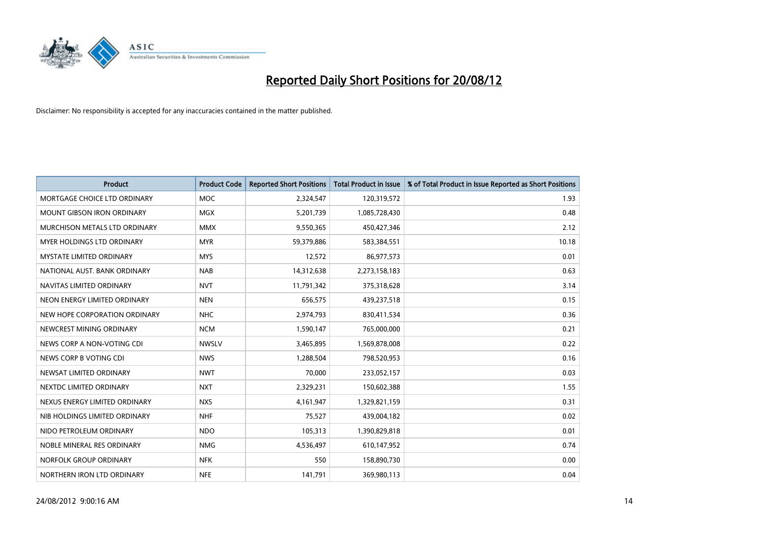

| <b>Product</b>                  | <b>Product Code</b> | <b>Reported Short Positions</b> | <b>Total Product in Issue</b> | % of Total Product in Issue Reported as Short Positions |
|---------------------------------|---------------------|---------------------------------|-------------------------------|---------------------------------------------------------|
| MORTGAGE CHOICE LTD ORDINARY    | <b>MOC</b>          | 2,324,547                       | 120,319,572                   | 1.93                                                    |
| MOUNT GIBSON IRON ORDINARY      | <b>MGX</b>          | 5,201,739                       | 1,085,728,430                 | 0.48                                                    |
| MURCHISON METALS LTD ORDINARY   | <b>MMX</b>          | 9,550,365                       | 450,427,346                   | 2.12                                                    |
| MYER HOLDINGS LTD ORDINARY      | <b>MYR</b>          | 59,379,886                      | 583,384,551                   | 10.18                                                   |
| <b>MYSTATE LIMITED ORDINARY</b> | <b>MYS</b>          | 12,572                          | 86,977,573                    | 0.01                                                    |
| NATIONAL AUST, BANK ORDINARY    | <b>NAB</b>          | 14,312,638                      | 2,273,158,183                 | 0.63                                                    |
| NAVITAS LIMITED ORDINARY        | <b>NVT</b>          | 11,791,342                      | 375,318,628                   | 3.14                                                    |
| NEON ENERGY LIMITED ORDINARY    | <b>NEN</b>          | 656,575                         | 439,237,518                   | 0.15                                                    |
| NEW HOPE CORPORATION ORDINARY   | <b>NHC</b>          | 2,974,793                       | 830,411,534                   | 0.36                                                    |
| NEWCREST MINING ORDINARY        | <b>NCM</b>          | 1,590,147                       | 765,000,000                   | 0.21                                                    |
| NEWS CORP A NON-VOTING CDI      | <b>NWSLV</b>        | 3,465,895                       | 1,569,878,008                 | 0.22                                                    |
| NEWS CORP B VOTING CDI          | <b>NWS</b>          | 1,288,504                       | 798,520,953                   | 0.16                                                    |
| NEWSAT LIMITED ORDINARY         | <b>NWT</b>          | 70,000                          | 233,052,157                   | 0.03                                                    |
| NEXTDC LIMITED ORDINARY         | <b>NXT</b>          | 2,329,231                       | 150,602,388                   | 1.55                                                    |
| NEXUS ENERGY LIMITED ORDINARY   | <b>NXS</b>          | 4,161,947                       | 1,329,821,159                 | 0.31                                                    |
| NIB HOLDINGS LIMITED ORDINARY   | <b>NHF</b>          | 75,527                          | 439,004,182                   | 0.02                                                    |
| NIDO PETROLEUM ORDINARY         | <b>NDO</b>          | 105,313                         | 1,390,829,818                 | 0.01                                                    |
| NOBLE MINERAL RES ORDINARY      | <b>NMG</b>          | 4,536,497                       | 610,147,952                   | 0.74                                                    |
| NORFOLK GROUP ORDINARY          | <b>NFK</b>          | 550                             | 158,890,730                   | 0.00                                                    |
| NORTHERN IRON LTD ORDINARY      | <b>NFE</b>          | 141,791                         | 369,980,113                   | 0.04                                                    |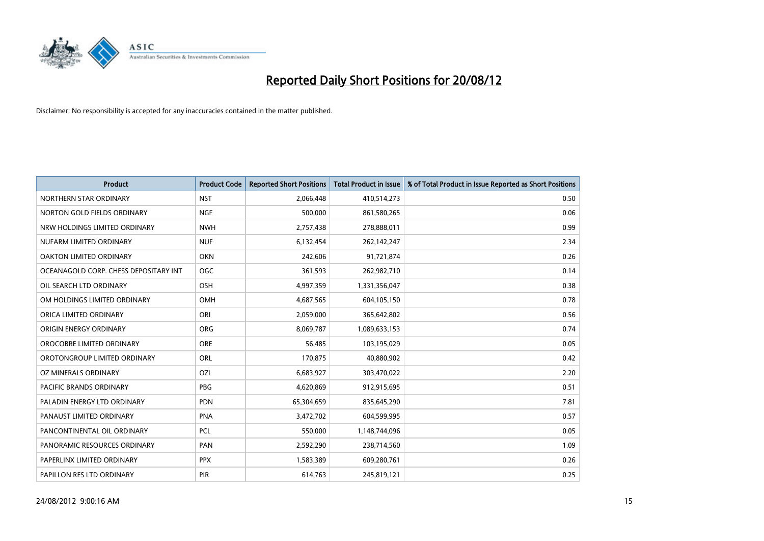

| <b>Product</b>                        | <b>Product Code</b> | <b>Reported Short Positions</b> | <b>Total Product in Issue</b> | % of Total Product in Issue Reported as Short Positions |
|---------------------------------------|---------------------|---------------------------------|-------------------------------|---------------------------------------------------------|
| NORTHERN STAR ORDINARY                | <b>NST</b>          | 2,066,448                       | 410,514,273                   | 0.50                                                    |
| NORTON GOLD FIELDS ORDINARY           | <b>NGF</b>          | 500,000                         | 861,580,265                   | 0.06                                                    |
| NRW HOLDINGS LIMITED ORDINARY         | <b>NWH</b>          | 2,757,438                       | 278,888,011                   | 0.99                                                    |
| NUFARM LIMITED ORDINARY               | <b>NUF</b>          | 6,132,454                       | 262,142,247                   | 2.34                                                    |
| OAKTON LIMITED ORDINARY               | <b>OKN</b>          | 242,606                         | 91,721,874                    | 0.26                                                    |
| OCEANAGOLD CORP. CHESS DEPOSITARY INT | <b>OGC</b>          | 361,593                         | 262,982,710                   | 0.14                                                    |
| OIL SEARCH LTD ORDINARY               | <b>OSH</b>          | 4,997,359                       | 1,331,356,047                 | 0.38                                                    |
| OM HOLDINGS LIMITED ORDINARY          | <b>OMH</b>          | 4,687,565                       | 604,105,150                   | 0.78                                                    |
| ORICA LIMITED ORDINARY                | ORI                 | 2,059,000                       | 365,642,802                   | 0.56                                                    |
| ORIGIN ENERGY ORDINARY                | <b>ORG</b>          | 8,069,787                       | 1,089,633,153                 | 0.74                                                    |
| OROCOBRE LIMITED ORDINARY             | <b>ORE</b>          | 56,485                          | 103,195,029                   | 0.05                                                    |
| OROTONGROUP LIMITED ORDINARY          | <b>ORL</b>          | 170,875                         | 40,880,902                    | 0.42                                                    |
| OZ MINERALS ORDINARY                  | OZL                 | 6,683,927                       | 303,470,022                   | 2.20                                                    |
| <b>PACIFIC BRANDS ORDINARY</b>        | <b>PBG</b>          | 4,620,869                       | 912,915,695                   | 0.51                                                    |
| PALADIN ENERGY LTD ORDINARY           | <b>PDN</b>          | 65,304,659                      | 835,645,290                   | 7.81                                                    |
| PANAUST LIMITED ORDINARY              | <b>PNA</b>          | 3,472,702                       | 604,599,995                   | 0.57                                                    |
| PANCONTINENTAL OIL ORDINARY           | <b>PCL</b>          | 550,000                         | 1,148,744,096                 | 0.05                                                    |
| PANORAMIC RESOURCES ORDINARY          | PAN                 | 2,592,290                       | 238,714,560                   | 1.09                                                    |
| PAPERLINX LIMITED ORDINARY            | <b>PPX</b>          | 1,583,389                       | 609,280,761                   | 0.26                                                    |
| PAPILLON RES LTD ORDINARY             | PIR                 | 614,763                         | 245,819,121                   | 0.25                                                    |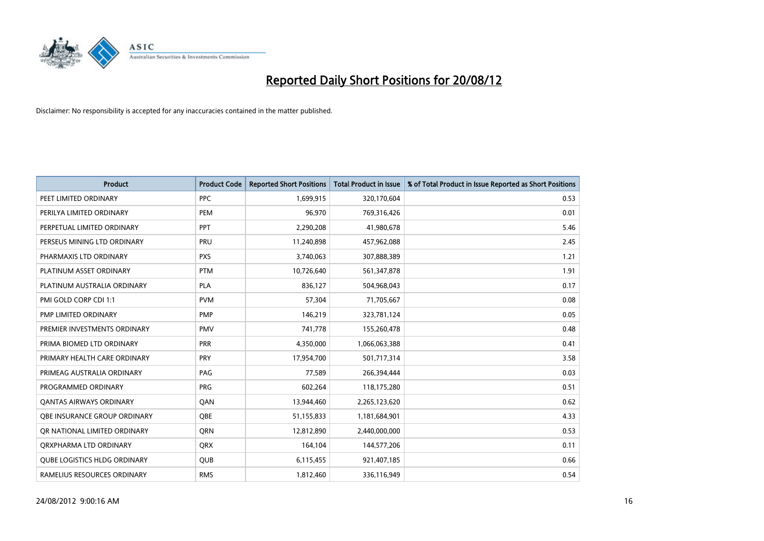

| <b>Product</b>                      | <b>Product Code</b> | <b>Reported Short Positions</b> | <b>Total Product in Issue</b> | % of Total Product in Issue Reported as Short Positions |
|-------------------------------------|---------------------|---------------------------------|-------------------------------|---------------------------------------------------------|
| PEET LIMITED ORDINARY               | <b>PPC</b>          | 1,699,915                       | 320,170,604                   | 0.53                                                    |
| PERILYA LIMITED ORDINARY            | <b>PEM</b>          | 96,970                          | 769,316,426                   | 0.01                                                    |
| PERPETUAL LIMITED ORDINARY          | <b>PPT</b>          | 2,290,208                       | 41,980,678                    | 5.46                                                    |
| PERSEUS MINING LTD ORDINARY         | PRU                 | 11,240,898                      | 457,962,088                   | 2.45                                                    |
| PHARMAXIS LTD ORDINARY              | <b>PXS</b>          | 3,740,063                       | 307,888,389                   | 1.21                                                    |
| PLATINUM ASSET ORDINARY             | <b>PTM</b>          | 10,726,640                      | 561,347,878                   | 1.91                                                    |
| PLATINUM AUSTRALIA ORDINARY         | <b>PLA</b>          | 836,127                         | 504,968,043                   | 0.17                                                    |
| PMI GOLD CORP CDI 1:1               | <b>PVM</b>          | 57,304                          | 71,705,667                    | 0.08                                                    |
| PMP LIMITED ORDINARY                | <b>PMP</b>          | 146,219                         | 323,781,124                   | 0.05                                                    |
| PREMIER INVESTMENTS ORDINARY        | <b>PMV</b>          | 741,778                         | 155,260,478                   | 0.48                                                    |
| PRIMA BIOMED LTD ORDINARY           | <b>PRR</b>          | 4,350,000                       | 1,066,063,388                 | 0.41                                                    |
| PRIMARY HEALTH CARE ORDINARY        | <b>PRY</b>          | 17,954,700                      | 501,717,314                   | 3.58                                                    |
| PRIMEAG AUSTRALIA ORDINARY          | PAG                 | 77,589                          | 266,394,444                   | 0.03                                                    |
| PROGRAMMED ORDINARY                 | <b>PRG</b>          | 602,264                         | 118,175,280                   | 0.51                                                    |
| <b>QANTAS AIRWAYS ORDINARY</b>      | QAN                 | 13,944,460                      | 2,265,123,620                 | 0.62                                                    |
| OBE INSURANCE GROUP ORDINARY        | <b>OBE</b>          | 51,155,833                      | 1,181,684,901                 | 4.33                                                    |
| OR NATIONAL LIMITED ORDINARY        | <b>ORN</b>          | 12,812,890                      | 2,440,000,000                 | 0.53                                                    |
| ORXPHARMA LTD ORDINARY              | <b>QRX</b>          | 164,104                         | 144,577,206                   | 0.11                                                    |
| <b>QUBE LOGISTICS HLDG ORDINARY</b> | <b>QUB</b>          | 6,115,455                       | 921,407,185                   | 0.66                                                    |
| RAMELIUS RESOURCES ORDINARY         | <b>RMS</b>          | 1,812,460                       | 336,116,949                   | 0.54                                                    |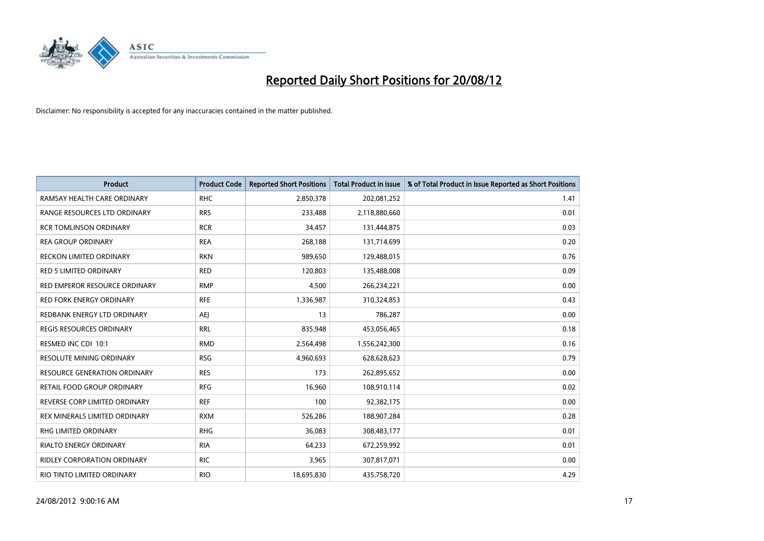

| <b>Product</b>                     | <b>Product Code</b> | <b>Reported Short Positions</b> | <b>Total Product in Issue</b> | % of Total Product in Issue Reported as Short Positions |
|------------------------------------|---------------------|---------------------------------|-------------------------------|---------------------------------------------------------|
| RAMSAY HEALTH CARE ORDINARY        | <b>RHC</b>          | 2,850,378                       | 202,081,252                   | 1.41                                                    |
| RANGE RESOURCES LTD ORDINARY       | <b>RRS</b>          | 233,488                         | 2,118,880,660                 | 0.01                                                    |
| <b>RCR TOMLINSON ORDINARY</b>      | <b>RCR</b>          | 34,457                          | 131,444,875                   | 0.03                                                    |
| <b>REA GROUP ORDINARY</b>          | <b>REA</b>          | 268,188                         | 131,714,699                   | 0.20                                                    |
| RECKON LIMITED ORDINARY            | <b>RKN</b>          | 989,650                         | 129,488,015                   | 0.76                                                    |
| <b>RED 5 LIMITED ORDINARY</b>      | <b>RED</b>          | 120,803                         | 135,488,008                   | 0.09                                                    |
| RED EMPEROR RESOURCE ORDINARY      | <b>RMP</b>          | 4,500                           | 266,234,221                   | 0.00                                                    |
| RED FORK ENERGY ORDINARY           | <b>RFE</b>          | 1,336,987                       | 310,324,853                   | 0.43                                                    |
| REDBANK ENERGY LTD ORDINARY        | AEJ                 | 13                              | 786,287                       | 0.00                                                    |
| <b>REGIS RESOURCES ORDINARY</b>    | <b>RRL</b>          | 835,948                         | 453,056,465                   | 0.18                                                    |
| RESMED INC CDI 10:1                | <b>RMD</b>          | 2,564,498                       | 1,556,242,300                 | 0.16                                                    |
| <b>RESOLUTE MINING ORDINARY</b>    | <b>RSG</b>          | 4,960,693                       | 628,628,623                   | 0.79                                                    |
| RESOURCE GENERATION ORDINARY       | <b>RES</b>          | 173                             | 262,895,652                   | 0.00                                                    |
| RETAIL FOOD GROUP ORDINARY         | <b>RFG</b>          | 16,960                          | 108,910,114                   | 0.02                                                    |
| REVERSE CORP LIMITED ORDINARY      | <b>REF</b>          | 100                             | 92,382,175                    | 0.00                                                    |
| REX MINERALS LIMITED ORDINARY      | <b>RXM</b>          | 526,286                         | 188,907,284                   | 0.28                                                    |
| RHG LIMITED ORDINARY               | <b>RHG</b>          | 36,083                          | 308,483,177                   | 0.01                                                    |
| RIALTO ENERGY ORDINARY             | <b>RIA</b>          | 64,233                          | 672,259,992                   | 0.01                                                    |
| <b>RIDLEY CORPORATION ORDINARY</b> | <b>RIC</b>          | 3,965                           | 307,817,071                   | 0.00                                                    |
| RIO TINTO LIMITED ORDINARY         | <b>RIO</b>          | 18,695,830                      | 435,758,720                   | 4.29                                                    |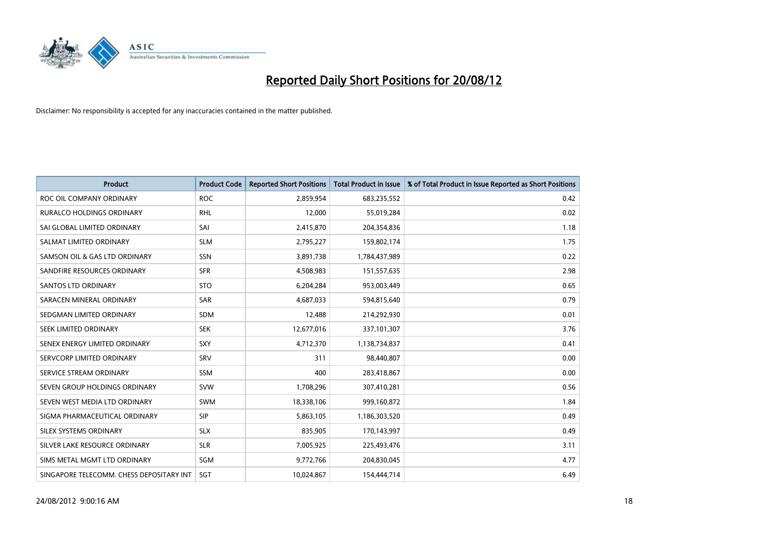

| <b>Product</b>                           | <b>Product Code</b> | <b>Reported Short Positions</b> | <b>Total Product in Issue</b> | % of Total Product in Issue Reported as Short Positions |
|------------------------------------------|---------------------|---------------------------------|-------------------------------|---------------------------------------------------------|
| ROC OIL COMPANY ORDINARY                 | <b>ROC</b>          | 2,859,954                       | 683,235,552                   | 0.42                                                    |
| RURALCO HOLDINGS ORDINARY                | <b>RHL</b>          | 12,000                          | 55,019,284                    | 0.02                                                    |
| SAI GLOBAL LIMITED ORDINARY              | SAI                 | 2,415,870                       | 204,354,836                   | 1.18                                                    |
| SALMAT LIMITED ORDINARY                  | <b>SLM</b>          | 2,795,227                       | 159,802,174                   | 1.75                                                    |
| SAMSON OIL & GAS LTD ORDINARY            | SSN                 | 3,891,738                       | 1,784,437,989                 | 0.22                                                    |
| SANDFIRE RESOURCES ORDINARY              | <b>SFR</b>          | 4,508,983                       | 151,557,635                   | 2.98                                                    |
| <b>SANTOS LTD ORDINARY</b>               | <b>STO</b>          | 6,204,284                       | 953,003,449                   | 0.65                                                    |
| SARACEN MINERAL ORDINARY                 | SAR                 | 4,687,033                       | 594,815,640                   | 0.79                                                    |
| SEDGMAN LIMITED ORDINARY                 | <b>SDM</b>          | 12,488                          | 214,292,930                   | 0.01                                                    |
| SEEK LIMITED ORDINARY                    | <b>SEK</b>          | 12,677,016                      | 337,101,307                   | 3.76                                                    |
| SENEX ENERGY LIMITED ORDINARY            | <b>SXY</b>          | 4,712,370                       | 1,138,734,837                 | 0.41                                                    |
| SERVCORP LIMITED ORDINARY                | SRV                 | 311                             | 98,440,807                    | 0.00                                                    |
| SERVICE STREAM ORDINARY                  | <b>SSM</b>          | 400                             | 283,418,867                   | 0.00                                                    |
| SEVEN GROUP HOLDINGS ORDINARY            | <b>SVW</b>          | 1,708,296                       | 307,410,281                   | 0.56                                                    |
| SEVEN WEST MEDIA LTD ORDINARY            | <b>SWM</b>          | 18,338,106                      | 999,160,872                   | 1.84                                                    |
| SIGMA PHARMACEUTICAL ORDINARY            | <b>SIP</b>          | 5,863,105                       | 1,186,303,520                 | 0.49                                                    |
| SILEX SYSTEMS ORDINARY                   | <b>SLX</b>          | 835,905                         | 170,143,997                   | 0.49                                                    |
| SILVER LAKE RESOURCE ORDINARY            | <b>SLR</b>          | 7,005,925                       | 225,493,476                   | 3.11                                                    |
| SIMS METAL MGMT LTD ORDINARY             | SGM                 | 9,772,766                       | 204,830,045                   | 4.77                                                    |
| SINGAPORE TELECOMM. CHESS DEPOSITARY INT | SGT                 | 10,024,867                      | 154,444,714                   | 6.49                                                    |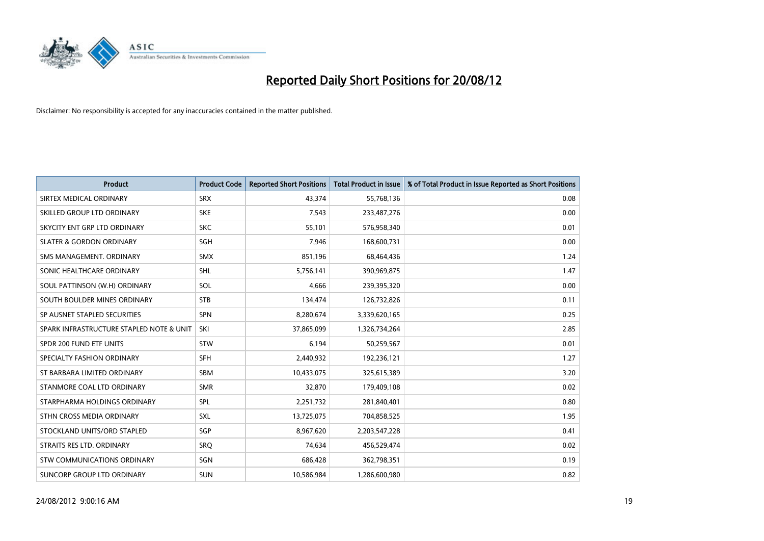

| <b>Product</b>                           | <b>Product Code</b> | <b>Reported Short Positions</b> | <b>Total Product in Issue</b> | % of Total Product in Issue Reported as Short Positions |
|------------------------------------------|---------------------|---------------------------------|-------------------------------|---------------------------------------------------------|
| SIRTEX MEDICAL ORDINARY                  | <b>SRX</b>          | 43,374                          | 55,768,136                    | 0.08                                                    |
| SKILLED GROUP LTD ORDINARY               | <b>SKE</b>          | 7,543                           | 233,487,276                   | 0.00                                                    |
| SKYCITY ENT GRP LTD ORDINARY             | <b>SKC</b>          | 55,101                          | 576,958,340                   | 0.01                                                    |
| <b>SLATER &amp; GORDON ORDINARY</b>      | <b>SGH</b>          | 7,946                           | 168,600,731                   | 0.00                                                    |
| SMS MANAGEMENT, ORDINARY                 | <b>SMX</b>          | 851,196                         | 68,464,436                    | 1.24                                                    |
| SONIC HEALTHCARE ORDINARY                | <b>SHL</b>          | 5,756,141                       | 390,969,875                   | 1.47                                                    |
| SOUL PATTINSON (W.H) ORDINARY            | SOL                 | 4,666                           | 239,395,320                   | 0.00                                                    |
| SOUTH BOULDER MINES ORDINARY             | <b>STB</b>          | 134,474                         | 126,732,826                   | 0.11                                                    |
| SP AUSNET STAPLED SECURITIES             | <b>SPN</b>          | 8,280,674                       | 3,339,620,165                 | 0.25                                                    |
| SPARK INFRASTRUCTURE STAPLED NOTE & UNIT | SKI                 | 37,865,099                      | 1,326,734,264                 | 2.85                                                    |
| SPDR 200 FUND ETF UNITS                  | <b>STW</b>          | 6,194                           | 50,259,567                    | 0.01                                                    |
| SPECIALTY FASHION ORDINARY               | <b>SFH</b>          | 2,440,932                       | 192,236,121                   | 1.27                                                    |
| ST BARBARA LIMITED ORDINARY              | <b>SBM</b>          | 10,433,075                      | 325,615,389                   | 3.20                                                    |
| STANMORE COAL LTD ORDINARY               | <b>SMR</b>          | 32,870                          | 179,409,108                   | 0.02                                                    |
| STARPHARMA HOLDINGS ORDINARY             | SPL                 | 2,251,732                       | 281,840,401                   | 0.80                                                    |
| STHN CROSS MEDIA ORDINARY                | SXL                 | 13,725,075                      | 704,858,525                   | 1.95                                                    |
| STOCKLAND UNITS/ORD STAPLED              | <b>SGP</b>          | 8,967,620                       | 2,203,547,228                 | 0.41                                                    |
| STRAITS RES LTD. ORDINARY                | SRQ                 | 74,634                          | 456,529,474                   | 0.02                                                    |
| STW COMMUNICATIONS ORDINARY              | SGN                 | 686,428                         | 362,798,351                   | 0.19                                                    |
| SUNCORP GROUP LTD ORDINARY               | <b>SUN</b>          | 10,586,984                      | 1,286,600,980                 | 0.82                                                    |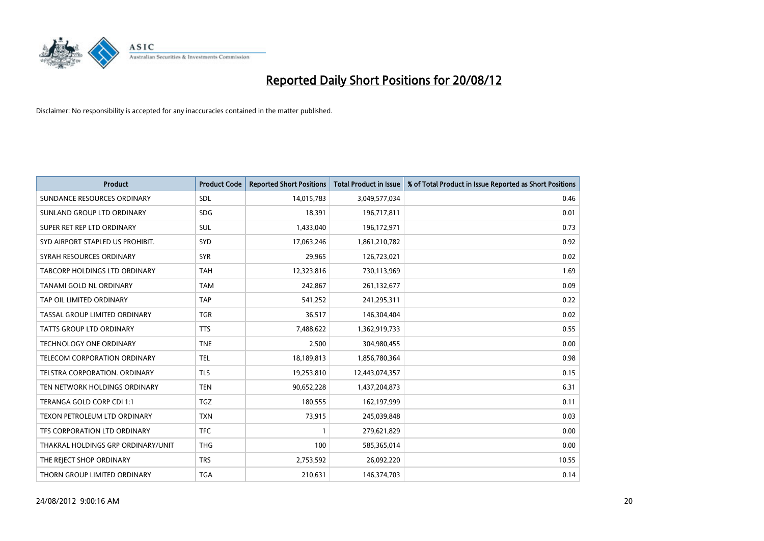

| <b>Product</b>                       | <b>Product Code</b> | <b>Reported Short Positions</b> | <b>Total Product in Issue</b> | % of Total Product in Issue Reported as Short Positions |
|--------------------------------------|---------------------|---------------------------------|-------------------------------|---------------------------------------------------------|
| SUNDANCE RESOURCES ORDINARY          | <b>SDL</b>          | 14,015,783                      | 3,049,577,034                 | 0.46                                                    |
| SUNLAND GROUP LTD ORDINARY           | <b>SDG</b>          | 18,391                          | 196,717,811                   | 0.01                                                    |
| SUPER RET REP LTD ORDINARY           | <b>SUL</b>          | 1,433,040                       | 196,172,971                   | 0.73                                                    |
| SYD AIRPORT STAPLED US PROHIBIT.     | <b>SYD</b>          | 17,063,246                      | 1,861,210,782                 | 0.92                                                    |
| SYRAH RESOURCES ORDINARY             | <b>SYR</b>          | 29,965                          | 126,723,021                   | 0.02                                                    |
| TABCORP HOLDINGS LTD ORDINARY        | <b>TAH</b>          | 12,323,816                      | 730,113,969                   | 1.69                                                    |
| TANAMI GOLD NL ORDINARY              | <b>TAM</b>          | 242,867                         | 261,132,677                   | 0.09                                                    |
| TAP OIL LIMITED ORDINARY             | <b>TAP</b>          | 541,252                         | 241,295,311                   | 0.22                                                    |
| TASSAL GROUP LIMITED ORDINARY        | <b>TGR</b>          | 36,517                          | 146,304,404                   | 0.02                                                    |
| <b>TATTS GROUP LTD ORDINARY</b>      | <b>TTS</b>          | 7,488,622                       | 1,362,919,733                 | 0.55                                                    |
| TECHNOLOGY ONE ORDINARY              | <b>TNE</b>          | 2,500                           | 304,980,455                   | 0.00                                                    |
| TELECOM CORPORATION ORDINARY         | <b>TEL</b>          | 18,189,813                      | 1,856,780,364                 | 0.98                                                    |
| <b>TELSTRA CORPORATION, ORDINARY</b> | <b>TLS</b>          | 19,253,810                      | 12,443,074,357                | 0.15                                                    |
| TEN NETWORK HOLDINGS ORDINARY        | <b>TEN</b>          | 90,652,228                      | 1,437,204,873                 | 6.31                                                    |
| TERANGA GOLD CORP CDI 1:1            | <b>TGZ</b>          | 180,555                         | 162,197,999                   | 0.11                                                    |
| TEXON PETROLEUM LTD ORDINARY         | <b>TXN</b>          | 73,915                          | 245,039,848                   | 0.03                                                    |
| TFS CORPORATION LTD ORDINARY         | <b>TFC</b>          |                                 | 279,621,829                   | 0.00                                                    |
| THAKRAL HOLDINGS GRP ORDINARY/UNIT   | <b>THG</b>          | 100                             | 585,365,014                   | 0.00                                                    |
| THE REJECT SHOP ORDINARY             | <b>TRS</b>          | 2,753,592                       | 26,092,220                    | 10.55                                                   |
| THORN GROUP LIMITED ORDINARY         | <b>TGA</b>          | 210,631                         | 146,374,703                   | 0.14                                                    |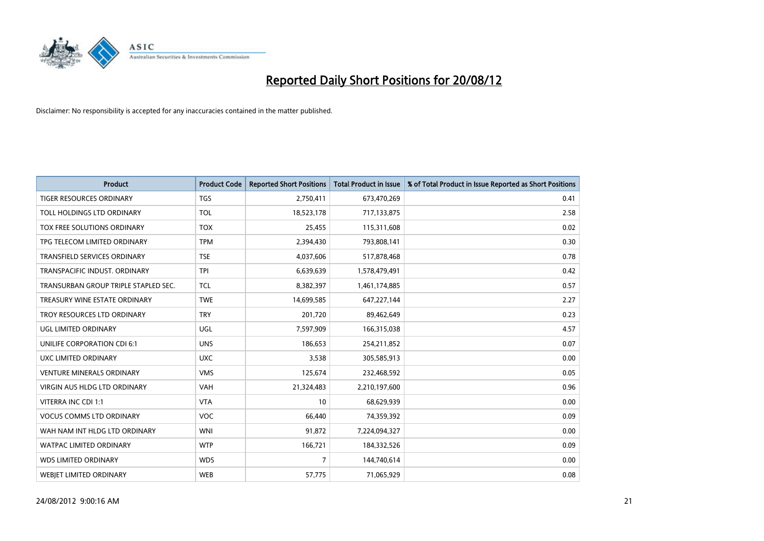

| <b>Product</b>                       | <b>Product Code</b> | <b>Reported Short Positions</b> | <b>Total Product in Issue</b> | % of Total Product in Issue Reported as Short Positions |
|--------------------------------------|---------------------|---------------------------------|-------------------------------|---------------------------------------------------------|
| <b>TIGER RESOURCES ORDINARY</b>      | <b>TGS</b>          | 2,750,411                       | 673,470,269                   | 0.41                                                    |
| TOLL HOLDINGS LTD ORDINARY           | <b>TOL</b>          | 18,523,178                      | 717,133,875                   | 2.58                                                    |
| TOX FREE SOLUTIONS ORDINARY          | <b>TOX</b>          | 25,455                          | 115,311,608                   | 0.02                                                    |
| TPG TELECOM LIMITED ORDINARY         | <b>TPM</b>          | 2,394,430                       | 793,808,141                   | 0.30                                                    |
| <b>TRANSFIELD SERVICES ORDINARY</b>  | <b>TSE</b>          | 4,037,606                       | 517,878,468                   | 0.78                                                    |
| TRANSPACIFIC INDUST, ORDINARY        | <b>TPI</b>          | 6,639,639                       | 1,578,479,491                 | 0.42                                                    |
| TRANSURBAN GROUP TRIPLE STAPLED SEC. | <b>TCL</b>          | 8,382,397                       | 1,461,174,885                 | 0.57                                                    |
| TREASURY WINE ESTATE ORDINARY        | <b>TWE</b>          | 14,699,585                      | 647,227,144                   | 2.27                                                    |
| TROY RESOURCES LTD ORDINARY          | <b>TRY</b>          | 201,720                         | 89,462,649                    | 0.23                                                    |
| UGL LIMITED ORDINARY                 | <b>UGL</b>          | 7,597,909                       | 166,315,038                   | 4.57                                                    |
| UNILIFE CORPORATION CDI 6:1          | <b>UNS</b>          | 186,653                         | 254,211,852                   | 0.07                                                    |
| UXC LIMITED ORDINARY                 | <b>UXC</b>          | 3,538                           | 305,585,913                   | 0.00                                                    |
| <b>VENTURE MINERALS ORDINARY</b>     | <b>VMS</b>          | 125,674                         | 232,468,592                   | 0.05                                                    |
| <b>VIRGIN AUS HLDG LTD ORDINARY</b>  | <b>VAH</b>          | 21,324,483                      | 2,210,197,600                 | 0.96                                                    |
| VITERRA INC CDI 1:1                  | <b>VTA</b>          | 10                              | 68,629,939                    | 0.00                                                    |
| <b>VOCUS COMMS LTD ORDINARY</b>      | <b>VOC</b>          | 66,440                          | 74,359,392                    | 0.09                                                    |
| WAH NAM INT HLDG LTD ORDINARY        | <b>WNI</b>          | 91,872                          | 7,224,094,327                 | 0.00                                                    |
| WATPAC LIMITED ORDINARY              | <b>WTP</b>          | 166,721                         | 184,332,526                   | 0.09                                                    |
| <b>WDS LIMITED ORDINARY</b>          | <b>WDS</b>          | 7                               | 144,740,614                   | 0.00                                                    |
| <b>WEBIET LIMITED ORDINARY</b>       | <b>WEB</b>          | 57,775                          | 71,065,929                    | 0.08                                                    |